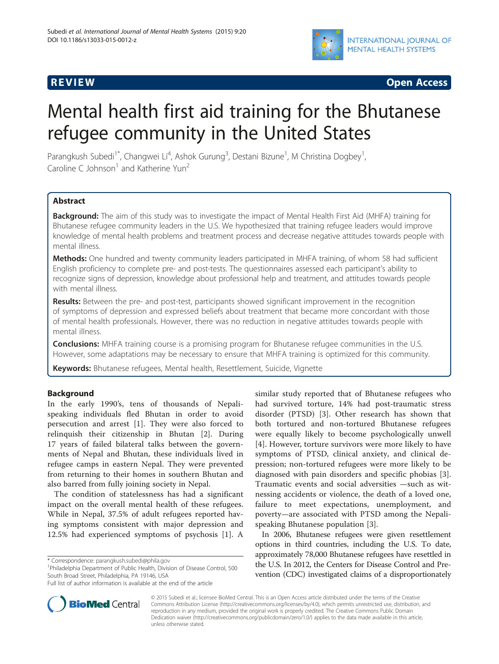

**REVIEW REVIEW CONSTRUCTER CONSTRUCTION** 

# Mental health first aid training for the Bhutanese refugee community in the United States

Parangkush Subedi<sup>1\*</sup>, Changwei Li<sup>4</sup>, Ashok Gurung<sup>3</sup>, Destani Bizune<sup>1</sup>, M Christina Dogbey<sup>1</sup> , Caroline C Johnson<sup>1</sup> and Katherine Yun<sup>2</sup>

# **Abstract**

Background: The aim of this study was to investigate the impact of Mental Health First Aid (MHFA) training for Bhutanese refugee community leaders in the U.S. We hypothesized that training refugee leaders would improve knowledge of mental health problems and treatment process and decrease negative attitudes towards people with mental illness.

Methods: One hundred and twenty community leaders participated in MHFA training, of whom 58 had sufficient English proficiency to complete pre- and post-tests. The questionnaires assessed each participant's ability to recognize signs of depression, knowledge about professional help and treatment, and attitudes towards people with mental illness.

Results: Between the pre- and post-test, participants showed significant improvement in the recognition of symptoms of depression and expressed beliefs about treatment that became more concordant with those of mental health professionals. However, there was no reduction in negative attitudes towards people with mental illness.

**Conclusions:** MHFA training course is a promising program for Bhutanese refugee communities in the U.S. However, some adaptations may be necessary to ensure that MHFA training is optimized for this community.

Keywords: Bhutanese refugees, Mental health, Resettlement, Suicide, Vignette

# Background

In the early 1990's, tens of thousands of Nepalispeaking individuals fled Bhutan in order to avoid persecution and arrest [[1\]](#page-5-0). They were also forced to relinquish their citizenship in Bhutan [[2](#page-5-0)]. During 17 years of failed bilateral talks between the governments of Nepal and Bhutan, these individuals lived in refugee camps in eastern Nepal. They were prevented from returning to their homes in southern Bhutan and also barred from fully joining society in Nepal.

The condition of statelessness has had a significant impact on the overall mental health of these refugees. While in Nepal, 37.5% of adult refugees reported having symptoms consistent with major depression and 12.5% had experienced symptoms of psychosis [\[1](#page-5-0)]. A

\* Correspondence: [parangkush.subedi@phila.gov](mailto:parangkush.subedi@phila.gov) <sup>1</sup>

<sup>1</sup>Philadelphia Department of Public Health, Division of Disease Control, 500 South Broad Street, Philadelphia, PA 19146, USA

similar study reported that of Bhutanese refugees who had survived torture, 14% had post-traumatic stress disorder (PTSD) [\[3](#page-5-0)]. Other research has shown that both tortured and non-tortured Bhutanese refugees were equally likely to become psychologically unwell [[4](#page-5-0)]. However, torture survivors were more likely to have symptoms of PTSD, clinical anxiety, and clinical depression; non-tortured refugees were more likely to be diagnosed with pain disorders and specific phobias [\[3](#page-5-0)]. Traumatic events and social adversities —such as witnessing accidents or violence, the death of a loved one, failure to meet expectations, unemployment, and poverty—are associated with PTSD among the Nepalispeaking Bhutanese population [[3](#page-5-0)].

In 2006, Bhutanese refugees were given resettlement options in third countries, including the U.S. To date, approximately 78,000 Bhutanese refugees have resettled in the U.S. In 2012, the Centers for Disease Control and Prevention (CDC) investigated claims of a disproportionately



© 2015 Subedi et al.; licensee BioMed Central. This is an Open Access article distributed under the terms of the Creative Commons Attribution License [\(http://creativecommons.org/licenses/by/4.0\)](http://creativecommons.org/licenses/by/4.0), which permits unrestricted use, distribution, and reproduction in any medium, provided the original work is properly credited. The Creative Commons Public Domain Dedication waiver [\(http://creativecommons.org/publicdomain/zero/1.0/](http://creativecommons.org/publicdomain/zero/1.0/)) applies to the data made available in this article, unless otherwise stated.

Full list of author information is available at the end of the article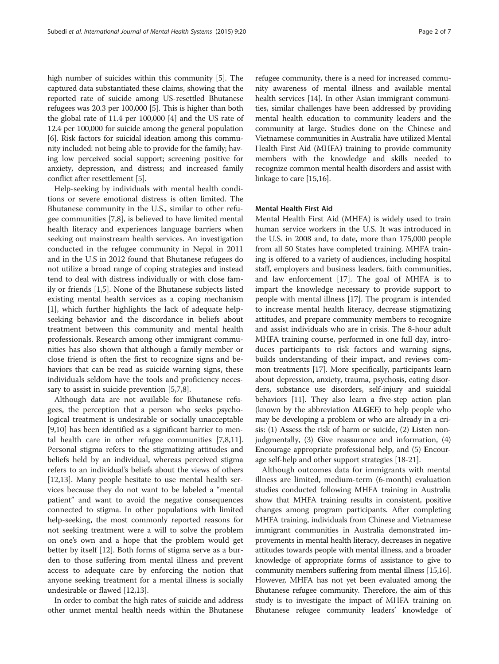high number of suicides within this community [[5\]](#page-5-0). The captured data substantiated these claims, showing that the reported rate of suicide among US-resettled Bhutanese refugees was 20.3 per 100,000 [\[5](#page-5-0)]. This is higher than both the global rate of 11.4 per 100,000 [\[4](#page-5-0)] and the US rate of 12.4 per 100,000 for suicide among the general population [[6\]](#page-5-0). Risk factors for suicidal ideation among this community included: not being able to provide for the family; having low perceived social support; screening positive for anxiety, depression, and distress; and increased family conflict after resettlement [\[5\]](#page-5-0).

Help-seeking by individuals with mental health conditions or severe emotional distress is often limited. The Bhutanese community in the U.S., similar to other refugee communities [\[7,8](#page-6-0)], is believed to have limited mental health literacy and experiences language barriers when seeking out mainstream health services. An investigation conducted in the refugee community in Nepal in 2011 and in the U.S in 2012 found that Bhutanese refugees do not utilize a broad range of coping strategies and instead tend to deal with distress individually or with close family or friends [\[1,5](#page-5-0)]. None of the Bhutanese subjects listed existing mental health services as a coping mechanism [[1\]](#page-5-0), which further highlights the lack of adequate helpseeking behavior and the discordance in beliefs about treatment between this community and mental health professionals. Research among other immigrant communities has also shown that although a family member or close friend is often the first to recognize signs and behaviors that can be read as suicide warning signs, these individuals seldom have the tools and proficiency neces-sary to assist in suicide prevention [[5,](#page-5-0)[7,8\]](#page-6-0).

Although data are not available for Bhutanese refugees, the perception that a person who seeks psychological treatment is undesirable or socially unacceptable [[9,10\]](#page-6-0) has been identified as a significant barrier to mental health care in other refugee communities [\[7,8,11](#page-6-0)]. Personal stigma refers to the stigmatizing attitudes and beliefs held by an individual, whereas perceived stigma refers to an individual's beliefs about the views of others [[12,13\]](#page-6-0). Many people hesitate to use mental health services because they do not want to be labeled a "mental patient" and want to avoid the negative consequences connected to stigma. In other populations with limited help-seeking, the most commonly reported reasons for not seeking treatment were a will to solve the problem on one's own and a hope that the problem would get better by itself [[12\]](#page-6-0). Both forms of stigma serve as a burden to those suffering from mental illness and prevent access to adequate care by enforcing the notion that anyone seeking treatment for a mental illness is socially undesirable or flawed [[12](#page-6-0),[13](#page-6-0)].

In order to combat the high rates of suicide and address other unmet mental health needs within the Bhutanese

refugee community, there is a need for increased community awareness of mental illness and available mental health services [\[14\]](#page-6-0). In other Asian immigrant communities, similar challenges have been addressed by providing mental health education to community leaders and the community at large. Studies done on the Chinese and Vietnamese communities in Australia have utilized Mental Health First Aid (MHFA) training to provide community members with the knowledge and skills needed to recognize common mental health disorders and assist with linkage to care [[15,16\]](#page-6-0).

# Mental Health First Aid

Mental Health First Aid (MHFA) is widely used to train human service workers in the U.S. It was introduced in the U.S. in 2008 and, to date, more than 175,000 people from all 50 States have completed training. MHFA training is offered to a variety of audiences, including hospital staff, employers and business leaders, faith communities, and law enforcement [\[17](#page-6-0)]. The goal of MHFA is to impart the knowledge necessary to provide support to people with mental illness [[17\]](#page-6-0). The program is intended to increase mental health literacy, decrease stigmatizing attitudes, and prepare community members to recognize and assist individuals who are in crisis. The 8-hour adult MHFA training course, performed in one full day, introduces participants to risk factors and warning signs, builds understanding of their impact, and reviews common treatments [\[17\]](#page-6-0). More specifically, participants learn about depression, anxiety, trauma, psychosis, eating disorders, substance use disorders, self-injury and suicidal behaviors [\[11\]](#page-6-0). They also learn a five-step action plan (known by the abbreviation ALGEE) to help people who may be developing a problem or who are already in a crisis: (1) Assess the risk of harm or suicide, (2) Listen nonjudgmentally, (3) Give reassurance and information, (4) Encourage appropriate professional help, and (5) Encourage self-help and other support strategies [\[18](#page-6-0)-[21](#page-6-0)].

Although outcomes data for immigrants with mental illness are limited, medium-term (6-month) evaluation studies conducted following MHFA training in Australia show that MHFA training results in consistent, positive changes among program participants. After completing MHFA training, individuals from Chinese and Vietnamese immigrant communities in Australia demonstrated improvements in mental health literacy, decreases in negative attitudes towards people with mental illness, and a broader knowledge of appropriate forms of assistance to give to community members suffering from mental illness [\[15,16](#page-6-0)]. However, MHFA has not yet been evaluated among the Bhutanese refugee community. Therefore, the aim of this study is to investigate the impact of MHFA training on Bhutanese refugee community leaders' knowledge of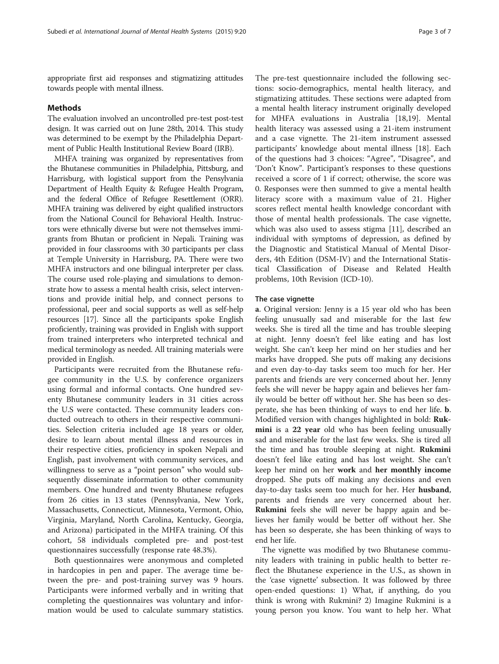appropriate first aid responses and stigmatizing attitudes towards people with mental illness.

## Methods

The evaluation involved an uncontrolled pre-test post-test design. It was carried out on June 28th, 2014. This study was determined to be exempt by the Philadelphia Department of Public Health Institutional Review Board (IRB).

MHFA training was organized by representatives from the Bhutanese communities in Philadelphia, Pittsburg, and Harrisburg, with logistical support from the Pensylvania Department of Health Equity & Refugee Health Program, and the federal Office of Refugee Resettlement (ORR). MHFA training was delivered by eight qualified instructors from the National Council for Behavioral Health. Instructors were ethnically diverse but were not themselves immigrants from Bhutan or proficient in Nepali. Training was provided in four classrooms with 30 participants per class at Temple University in Harrisburg, PA. There were two MHFA instructors and one bilingual interpreter per class. The course used role-playing and simulations to demonstrate how to assess a mental health crisis, select interventions and provide initial help, and connect persons to professional, peer and social supports as well as self-help resources [[17](#page-6-0)]. Since all the participants spoke English proficiently, training was provided in English with support from trained interpreters who interpreted technical and medical terminology as needed. All training materials were provided in English.

Participants were recruited from the Bhutanese refugee community in the U.S. by conference organizers using formal and informal contacts. One hundred seventy Bhutanese community leaders in 31 cities across the U.S were contacted. These community leaders conducted outreach to others in their respective communities. Selection criteria included age 18 years or older, desire to learn about mental illness and resources in their respective cities, proficiency in spoken Nepali and English, past involvement with community services, and willingness to serve as a "point person" who would subsequently disseminate information to other community members. One hundred and twenty Bhutanese refugees from 26 cities in 13 states (Pennsylvania, New York, Massachusetts, Connecticut, Minnesota, Vermont, Ohio, Virginia, Maryland, North Carolina, Kentucky, Georgia, and Arizona) participated in the MHFA training. Of this cohort, 58 individuals completed pre- and post-test questionnaires successfully (response rate 48.3%).

Both questionnaires were anonymous and completed in hardcopies in pen and paper. The average time between the pre- and post-training survey was 9 hours. Participants were informed verbally and in writing that completing the questionnaires was voluntary and information would be used to calculate summary statistics.

The pre-test questionnaire included the following sections: socio-demographics, mental health literacy, and stigmatizing attitudes. These sections were adapted from a mental health literacy instrument originally developed for MHFA evaluations in Australia [\[18,19\]](#page-6-0). Mental health literacy was assessed using a 21-item instrument and a case vignette. The 21-item instrument assessed participants' knowledge about mental illness [\[18](#page-6-0)]. Each of the questions had 3 choices: "Agree", "Disagree", and 'Don't Know". Participant's responses to these questions received a score of 1 if correct; otherwise, the score was 0. Responses were then summed to give a mental health literacy score with a maximum value of 21. Higher scores reflect mental health knowledge concordant with those of mental health professionals. The case vignette, which was also used to assess stigma [\[11](#page-6-0)], described an individual with symptoms of depression, as defined by the Diagnostic and Statistical Manual of Mental Disorders, 4th Edition (DSM-IV) and the International Statistical Classification of Disease and Related Health problems, 10th Revision (ICD-10).

#### The case vignette

a. Original version: Jenny is a 15 year old who has been feeling unusually sad and miserable for the last few weeks. She is tired all the time and has trouble sleeping at night. Jenny doesn't feel like eating and has lost weight. She can't keep her mind on her studies and her marks have dropped. She puts off making any decisions and even day-to-day tasks seem too much for her. Her parents and friends are very concerned about her. Jenny feels she will never be happy again and believes her family would be better off without her. She has been so desperate, she has been thinking of ways to end her life. b. Modified version with changes highlighted in bold: Rukmini is a 22 year old who has been feeling unusually sad and miserable for the last few weeks. She is tired all the time and has trouble sleeping at night. Rukmini doesn't feel like eating and has lost weight. She can't keep her mind on her work and her monthly income dropped. She puts off making any decisions and even day-to-day tasks seem too much for her. Her **husband**, parents and friends are very concerned about her. Rukmini feels she will never be happy again and believes her family would be better off without her. She has been so desperate, she has been thinking of ways to end her life.

The vignette was modified by two Bhutanese community leaders with training in public health to better reflect the Bhutanese experience in the U.S., as shown in the 'case vignette' subsection. It was followed by three open-ended questions: 1) What, if anything, do you think is wrong with Rukmini? 2) Imagine Rukmini is a young person you know. You want to help her. What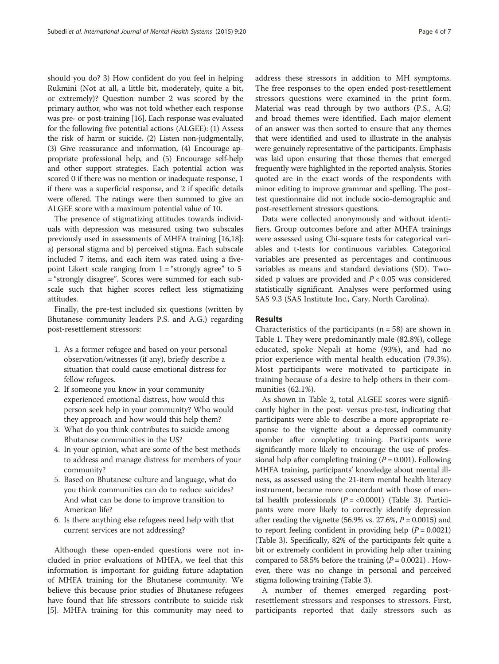should you do? 3) How confident do you feel in helping Rukmini (Not at all, a little bit, moderately, quite a bit, or extremely)? Question number 2 was scored by the primary author, who was not told whether each response was pre- or post-training [\[16\]](#page-6-0). Each response was evaluated for the following five potential actions (ALGEE): (1) Assess the risk of harm or suicide, (2) Listen non-judgmentally, (3) Give reassurance and information, (4) Encourage appropriate professional help, and (5) Encourage self-help and other support strategies. Each potential action was scored 0 if there was no mention or inadequate response, 1 if there was a superficial response, and 2 if specific details were offered. The ratings were then summed to give an ALGEE score with a maximum potential value of 10.

The presence of stigmatizing attitudes towards individuals with depression was measured using two subscales previously used in assessments of MHFA training [\[16,18](#page-6-0)]: a) personal stigma and b) perceived stigma. Each subscale included 7 items, and each item was rated using a fivepoint Likert scale ranging from  $1 =$  "strongly agree" to 5 = "strongly disagree". Scores were summed for each subscale such that higher scores reflect less stigmatizing attitudes.

Finally, the pre-test included six questions (written by Bhutanese community leaders P.S. and A.G.) regarding post-resettlement stressors:

- 1. As a former refugee and based on your personal observation/witnesses (if any), briefly describe a situation that could cause emotional distress for fellow refugees.
- 2. If someone you know in your community experienced emotional distress, how would this person seek help in your community? Who would they approach and how would this help them?
- 3. What do you think contributes to suicide among Bhutanese communities in the US?
- 4. In your opinion, what are some of the best methods to address and manage distress for members of your community?
- 5. Based on Bhutanese culture and language, what do you think communities can do to reduce suicides? And what can be done to improve transition to American life?
- 6. Is there anything else refugees need help with that current services are not addressing?

Although these open-ended questions were not included in prior evaluations of MHFA, we feel that this information is important for guiding future adaptation of MHFA training for the Bhutanese community. We believe this because prior studies of Bhutanese refugees have found that life stressors contribute to suicide risk [[5\]](#page-5-0). MHFA training for this community may need to address these stressors in addition to MH symptoms. The free responses to the open ended post-resettlement stressors questions were examined in the print form. Material was read through by two authors (P.S., A.G) and broad themes were identified. Each major element of an answer was then sorted to ensure that any themes that were identified and used to illustrate in the analysis were genuinely representative of the participants. Emphasis was laid upon ensuring that those themes that emerged frequently were highlighted in the reported analysis. Stories quoted are in the exact words of the respondents with minor editing to improve grammar and spelling. The posttest questionnaire did not include socio-demographic and post-resettlement stressors questions.

Data were collected anonymously and without identifiers. Group outcomes before and after MHFA trainings were assessed using Chi-square tests for categorical variables and t-tests for continuous variables. Categorical variables are presented as percentages and continuous variables as means and standard deviations (SD). Twosided p values are provided and  $P < 0.05$  was considered statistically significant. Analyses were performed using SAS 9.3 (SAS Institute Inc., Cary, North Carolina).

### Results

Characteristics of the participants  $(n = 58)$  are shown in Table [1](#page-4-0). They were predominantly male (82.8%), college educated, spoke Nepali at home (93%), and had no prior experience with mental health education (79.3%). Most participants were motivated to participate in training because of a desire to help others in their communities (62.1%).

As shown in Table [2,](#page-4-0) total ALGEE scores were significantly higher in the post- versus pre-test, indicating that participants were able to describe a more appropriate response to the vignette about a depressed community member after completing training. Participants were significantly more likely to encourage the use of professional help after completing training  $(P = 0.001)$ . Following MHFA training, participants' knowledge about mental illness, as assessed using the 21-item mental health literacy instrument, became more concordant with those of mental health professionals  $(P = < 0.0001)$  (Table [3](#page-4-0)). Participants were more likely to correctly identify depression after reading the vignette (56.9% vs. 27.6%,  $P = 0.0015$ ) and to report feeling confident in providing help  $(P = 0.0021)$ (Table [3\)](#page-4-0). Specifically, 82% of the participants felt quite a bit or extremely confident in providing help after training compared to 58.5% before the training  $(P = 0.0021)$  . However, there was no change in personal and perceived stigma following training (Table [3](#page-4-0)).

A number of themes emerged regarding postresettlement stressors and responses to stressors. First, participants reported that daily stressors such as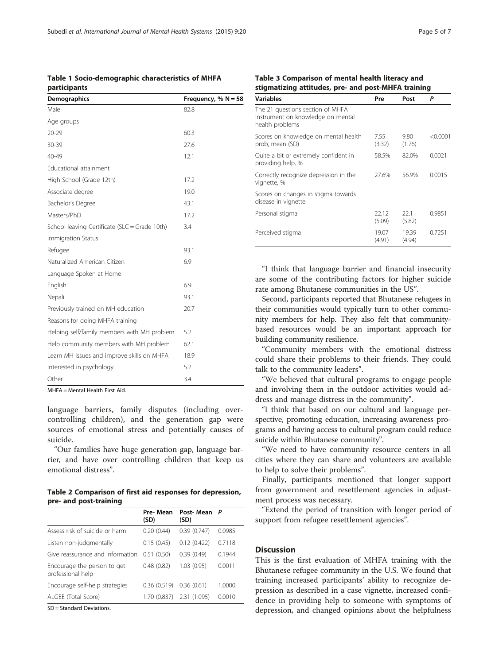<span id="page-4-0"></span>Table 1 Socio-demographic characteristics of MHFA participants

| <b>Demographics</b>                           | Frequency, % $N = 58$ |
|-----------------------------------------------|-----------------------|
| Male                                          | 82.8                  |
| Age groups                                    |                       |
| $20 - 29$                                     | 60.3                  |
| 30-39                                         | 27.6                  |
| 40-49                                         | 12.1                  |
| Educational attainment                        |                       |
| High School (Grade 12th)                      | 17.2                  |
| Associate degree                              | 19.0                  |
| Bachelor's Degree                             | 43.1                  |
| Masters/PhD                                   | 17.2                  |
| School leaving Certificate (SLC = Grade 10th) | 3.4                   |
| Immigration Status                            |                       |
| Refugee                                       | 93.1                  |
| Naturalized American Citizen                  | 6.9                   |
| Language Spoken at Home                       |                       |
| English                                       | 6.9                   |
| Nepali                                        | 93.1                  |
| Previously trained on MH education            | 20.7                  |
| Reasons for doing MHFA training               |                       |
| Helping self/family members with MH problem   | 5.2                   |
| Help community members with MH problem        | 62.1                  |
| Learn MH issues and improve skills on MHFA    | 18.9                  |
| Interested in psychology                      | 5.2                   |
| Other                                         | 3.4                   |

MHFA = Mental Health First Aid.

language barriers, family disputes (including overcontrolling children), and the generation gap were sources of emotional stress and potentially causes of suicide.

"Our families have huge generation gap, language barrier, and have over controlling children that keep us emotional distress".

Table 2 Comparison of first aid responses for depression, pre- and post-training

|                                                  | Pre-Mean<br>(SD) | Post-Mean<br>(SD) | P      |
|--------------------------------------------------|------------------|-------------------|--------|
| Assess risk of suicide or harm                   | 0.20(0.44)       | 0.39(0.747)       | 0.0985 |
| Listen non-judgmentally                          | 0.15(0.45)       | 0.12(0.422)       | 0.7118 |
| Give reassurance and information                 | 0.51(0.50)       | 0.39(0.49)        | 0.1944 |
| Encourage the person to get<br>professional help | 0.48(0.82)       | 1.03(0.95)        | 0.0011 |
| Encourage self-help strategies                   | 0.36(0.519)      | 0.36(0.61)        | 1.0000 |
| ALGEE (Total Score)                              | 1.70 (0.837)     | 2.31 (1.095)      | 0.0010 |
|                                                  |                  |                   |        |

SD = Standard Deviations.

| $\frac{1}{2}$                                                                            |                 |                 |          |  |
|------------------------------------------------------------------------------------------|-----------------|-----------------|----------|--|
| <b>Variables</b>                                                                         | Pre             | Post            | Р        |  |
| The 21 questions section of MHFA<br>instrument on knowledge on mental<br>health problems |                 |                 |          |  |
| Scores on knowledge on mental health<br>prob, mean (SD)                                  | 7.55<br>(3.32)  | 9.80<br>(1.76)  | < 0.0001 |  |
| Quite a bit or extremely confident in<br>providing help, %                               | 58.5%           | 82.0%           | 0.0021   |  |
| Correctly recognize depression in the<br>vignette, %                                     | 27.6%           | 56.9%           | 0.0015   |  |
| Scores on changes in stigma towards<br>disease in vignette                               |                 |                 |          |  |
| Personal stigma                                                                          | 22.12<br>(5.09) | 22.1<br>(5.82)  | 0.9851   |  |
| Perceived stigma                                                                         | 19.07<br>(4.91) | 19.39<br>(4.94) | 0.7251   |  |

Table 3 Comparison of mental health literacy and stigmatizing attitudes, pre- and post-MHFA training

"I think that language barrier and financial insecurity are some of the contributing factors for higher suicide rate among Bhutanese communities in the US".

Second, participants reported that Bhutanese refugees in their communities would typically turn to other community members for help. They also felt that communitybased resources would be an important approach for building community resilience.

"Community members with the emotional distress could share their problems to their friends. They could talk to the community leaders".

"We believed that cultural programs to engage people and involving them in the outdoor activities would address and manage distress in the community".

"I think that based on our cultural and language perspective, promoting education, increasing awareness programs and having access to cultural program could reduce suicide within Bhutanese community".

"We need to have community resource centers in all cities where they can share and volunteers are available to help to solve their problems".

Finally, participants mentioned that longer support from government and resettlement agencies in adjustment process was necessary.

"Extend the period of transition with longer period of support from refugee resettlement agencies".

# **Discussion**

This is the first evaluation of MHFA training with the Bhutanese refugee community in the U.S. We found that training increased participants' ability to recognize depression as described in a case vignette, increased confidence in providing help to someone with symptoms of depression, and changed opinions about the helpfulness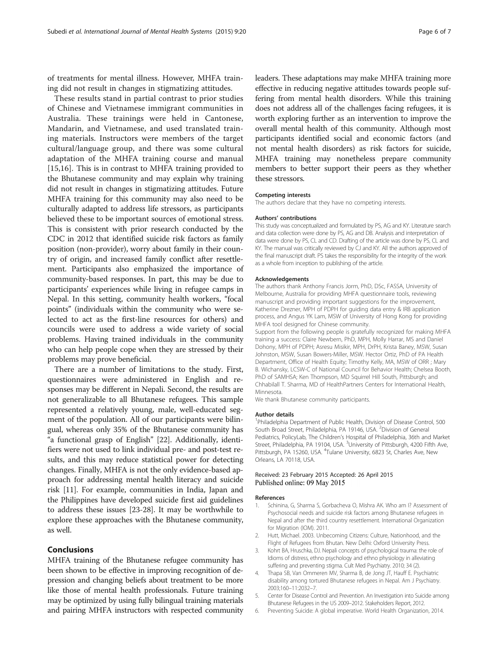<span id="page-5-0"></span>of treatments for mental illness. However, MHFA training did not result in changes in stigmatizing attitudes.

These results stand in partial contrast to prior studies of Chinese and Vietnamese immigrant communities in Australia. These trainings were held in Cantonese, Mandarin, and Vietnamese, and used translated training materials. Instructors were members of the target cultural/language group, and there was some cultural adaptation of the MHFA training course and manual [[15,16](#page-6-0)]. This is in contrast to MHFA training provided to the Bhutanese community and may explain why training did not result in changes in stigmatizing attitudes. Future MHFA training for this community may also need to be culturally adapted to address life stressors, as participants believed these to be important sources of emotional stress. This is consistent with prior research conducted by the CDC in 2012 that identified suicide risk factors as family position (non-provider), worry about family in their country of origin, and increased family conflict after resettlement. Participants also emphasized the importance of community-based responses. In part, this may be due to participants' experiences while living in refugee camps in Nepal. In this setting, community health workers, "focal points" (individuals within the community who were selected to act as the first-line resources for others) and councils were used to address a wide variety of social problems. Having trained individuals in the community who can help people cope when they are stressed by their problems may prove beneficial.

There are a number of limitations to the study. First, questionnaires were administered in English and responses may be different in Nepali. Second, the results are not generalizable to all Bhutanese refugees. This sample represented a relatively young, male, well-educated segment of the population. All of our participants were bilingual, whereas only 35% of the Bhutanese community has "a functional grasp of English" [\[22\]](#page-6-0). Additionally, identifiers were not used to link individual pre- and post-test results, and this may reduce statistical power for detecting changes. Finally, MHFA is not the only evidence-based approach for addressing mental health literacy and suicide risk [\[11](#page-6-0)]. For example, communities in India, Japan and the Philippines have developed suicide first aid guidelines to address these issues [\[23-28](#page-6-0)]. It may be worthwhile to explore these approaches with the Bhutanese community, as well.

# Conclusions

MHFA training of the Bhutanese refugee community has been shown to be effective in improving recognition of depression and changing beliefs about treatment to be more like those of mental health professionals. Future training may be optimized by using fully bilingual training materials and pairing MHFA instructors with respected community leaders. These adaptations may make MHFA training more effective in reducing negative attitudes towards people suffering from mental health disorders. While this training does not address all of the challenges facing refugees, it is worth exploring further as an intervention to improve the overall mental health of this community. Although most participants identified social and economic factors (and not mental health disorders) as risk factors for suicide, MHFA training may nonetheless prepare community members to better support their peers as they whether these stressors.

#### Competing interests

The authors declare that they have no competing interests.

#### Authors' contributions

This study was conceptualized and formulated by PS, AG and KY. Literature search and data collection were done by PS, AG and DB. Analysis and interpretation of data were done by PS, CL and CD. Drafting of the article was done by PS, CL and KY. The manual was critically reviewed by CJ and KY. All the authors approved of the final manuscript draft. PS takes the responsibility for the integrity of the work as a whole from inception to publishing of the article.

#### Acknowledgements

The authors thank Anthony Francis Jorm, PhD, DSc, FASSA, University of Melbourne, Australia for providing MHFA questionnaire tools, reviewing manuscript and providing important suggestions for the improvement, Katherine Drezner, MPH of PDPH for guiding data entry & IRB application process, and Angus YK Lam, MSW of University of Hong Kong for providing MHFA tool designed for Chinese community.

Support from the following people is gratefully recognized for making MHFA training a success: Claire Newbern, PhD, MPH, Molly Harrar, MS and Daniel Dohony, MPH of PDPH; Asresu Misikir, MPH, DrPH, Krista Baney, MSW, Susan Johnston, MSW, Susan Bowers-Miller, MSW. Hector Ortiz, PhD of PA Health Department, Office of Health Equity; Timothy Kelly, MA, MSW of ORR ; Mary B. Wichansky, LCSW-C of National Council for Behavior Health; Chelsea Booth, PhD of SAMHSA; Ken Thompson, MD Squirrel Hill South, Pittsburgh; and Chhabilall T. Sharma, MD of HealthPartners Centers for International Health, Minnesota.

We thank Bhutanese community participants.

#### Author details

<sup>1</sup>Philadelphia Department of Public Health, Division of Disease Control, 500 South Broad Street, Philadelphia, PA 19146, USA. <sup>2</sup>Division of General Pediatrics, PolicyLab, The Children's Hospital of Philadelphia, 36th and Market Street, Philadelphia, PA 19104, USA. <sup>3</sup>University of Pittsburgh, 4200 Fifth Ave Pittsburgh, PA 15260, USA. <sup>4</sup>Tulane University, 6823 St, Charles Ave, New Orleans, LA 70118, USA.

#### Received: 23 February 2015 Accepted: 26 April 2015 Published online: 09 May 2015

#### References

- 1. Schinina, G, Sharma S, Gorbacheva O, Mishra AK. Who am I? Assessment of Psychosocial needs and suicide risk factors among Bhutanese refugees in Nepal and after the third country resettlement. International Organization for Migration (IOM). 2011.
- 2. Hutt, Michael. 2003. Unbecoming Citizens: Culture, Nationhood, and the Flight of Refugees from Bhutan. New Delhi: Oxford University Press.
- 3. Kohrt BA, Hruschka, DJ. Nepali concepts of psychological trauma: the role of Idioms of distress, ethno psychology and ethno physiology in alleviating suffering and preventing stigma. Cult Med Psychiatry. 2010; 34 (2).
- 4. Thapa SB, Van Ommeren MV, Sharma B, de Jong JT, Hauff E. Psychiatric disability among tortured Bhutanese refugees in Nepal. Am J Psychiatry. 2003;160–11:2032–7.
- 5. Center for Disease Control and Prevention. An Investigation into Suicide among Bhutanese Refugees in the US 2009–2012. Stakeholders Report, 2012.
- 6. Preventing Suicide: A global imperative. World Health Organization, 2014.